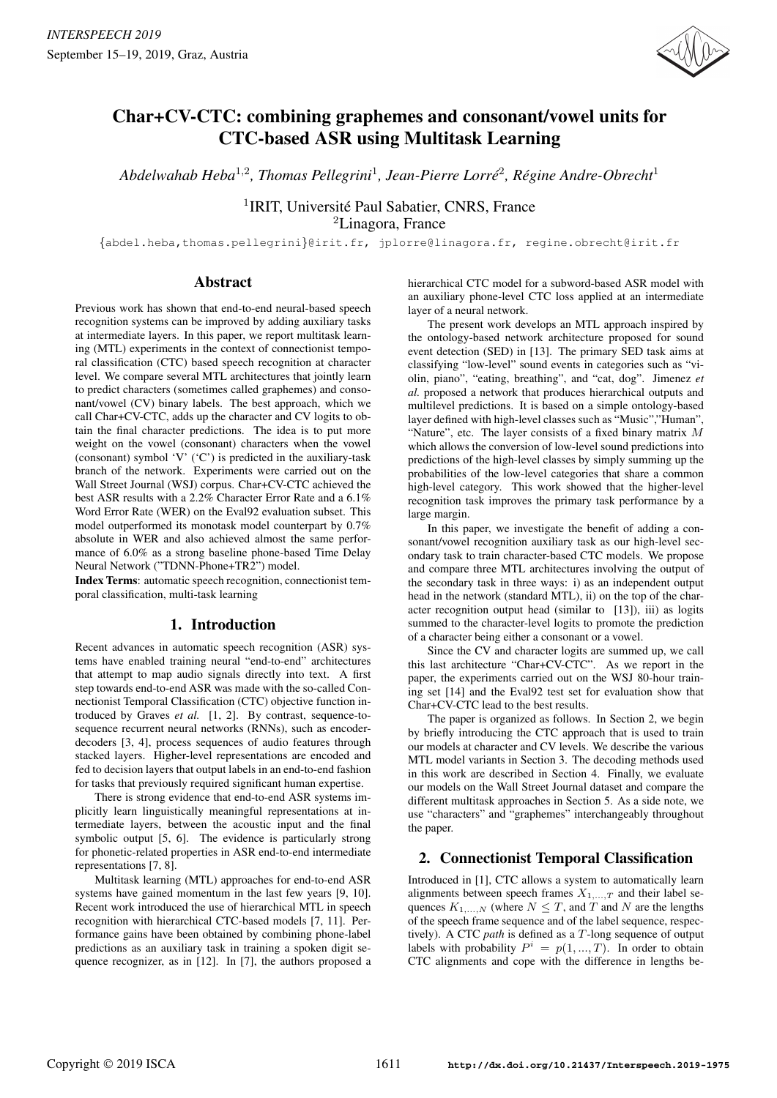

# Char+CV-CTC: combining graphemes and consonant/vowel units for CTC-based ASR using Multitask Learning

Abdelwahab Heba<sup>1,2</sup>, Thomas Pellegrini<sup>1</sup>, Jean-Pierre Lorré<sup>2</sup>, Régine Andre-Obrecht<sup>1</sup>

<sup>1</sup> IRIT, Université Paul Sabatier, CNRS, France <sup>2</sup>Linagora, France

{abdel.heba,thomas.pellegrini}@irit.fr, jplorre@linagora.fr, regine.obrecht@irit.fr

# Abstract

Previous work has shown that end-to-end neural-based speech recognition systems can be improved by adding auxiliary tasks at intermediate layers. In this paper, we report multitask learning (MTL) experiments in the context of connectionist temporal classification (CTC) based speech recognition at character level. We compare several MTL architectures that jointly learn to predict characters (sometimes called graphemes) and consonant/vowel (CV) binary labels. The best approach, which we call Char+CV-CTC, adds up the character and CV logits to obtain the final character predictions. The idea is to put more weight on the vowel (consonant) characters when the vowel (consonant) symbol 'V' ('C') is predicted in the auxiliary-task branch of the network. Experiments were carried out on the Wall Street Journal (WSJ) corpus. Char+CV-CTC achieved the best ASR results with a 2.2% Character Error Rate and a 6.1% Word Error Rate (WER) on the Eval92 evaluation subset. This model outperformed its monotask model counterpart by 0.7% absolute in WER and also achieved almost the same performance of 6.0% as a strong baseline phone-based Time Delay Neural Network ("TDNN-Phone+TR2") model.

Index Terms: automatic speech recognition, connectionist temporal classification, multi-task learning

# 1. Introduction

Recent advances in automatic speech recognition (ASR) systems have enabled training neural "end-to-end" architectures that attempt to map audio signals directly into text. A first step towards end-to-end ASR was made with the so-called Connectionist Temporal Classification (CTC) objective function introduced by Graves *et al.* [1, 2]. By contrast, sequence-tosequence recurrent neural networks (RNNs), such as encoderdecoders [3, 4], process sequences of audio features through stacked layers. Higher-level representations are encoded and fed to decision layers that output labels in an end-to-end fashion for tasks that previously required significant human expertise.

There is strong evidence that end-to-end ASR systems implicitly learn linguistically meaningful representations at intermediate layers, between the acoustic input and the final symbolic output [5, 6]. The evidence is particularly strong for phonetic-related properties in ASR end-to-end intermediate representations [7, 8].

Multitask learning (MTL) approaches for end-to-end ASR systems have gained momentum in the last few years [9, 10]. Recent work introduced the use of hierarchical MTL in speech recognition with hierarchical CTC-based models [7, 11]. Performance gains have been obtained by combining phone-label predictions as an auxiliary task in training a spoken digit sequence recognizer, as in [12]. In [7], the authors proposed a hierarchical CTC model for a subword-based ASR model with an auxiliary phone-level CTC loss applied at an intermediate layer of a neural network.

The present work develops an MTL approach inspired by the ontology-based network architecture proposed for sound event detection (SED) in [13]. The primary SED task aims at classifying "low-level" sound events in categories such as "violin, piano", "eating, breathing", and "cat, dog". Jimenez *et al.* proposed a network that produces hierarchical outputs and multilevel predictions. It is based on a simple ontology-based layer defined with high-level classes such as "Music","Human", "Nature", etc. The layer consists of a fixed binary matrix  $M$ which allows the conversion of low-level sound predictions into predictions of the high-level classes by simply summing up the probabilities of the low-level categories that share a common high-level category. This work showed that the higher-level recognition task improves the primary task performance by a large margin.

In this paper, we investigate the benefit of adding a consonant/vowel recognition auxiliary task as our high-level secondary task to train character-based CTC models. We propose and compare three MTL architectures involving the output of the secondary task in three ways: i) as an independent output head in the network (standard MTL), ii) on the top of the character recognition output head (similar to [13]), iii) as logits summed to the character-level logits to promote the prediction of a character being either a consonant or a vowel.

Since the CV and character logits are summed up, we call this last architecture "Char+CV-CTC". As we report in the paper, the experiments carried out on the WSJ 80-hour training set [14] and the Eval92 test set for evaluation show that Char+CV-CTC lead to the best results.

The paper is organized as follows. In Section 2, we begin by briefly introducing the CTC approach that is used to train our models at character and CV levels. We describe the various MTL model variants in Section 3. The decoding methods used in this work are described in Section 4. Finally, we evaluate our models on the Wall Street Journal dataset and compare the different multitask approaches in Section 5. As a side note, we use "characters" and "graphemes" interchangeably throughout the paper.

# 2. Connectionist Temporal Classification

Introduced in [1], CTC allows a system to automatically learn alignments between speech frames  $X_{1,...,T}$  and their label sequences  $K_{1,\dots,N}$  (where  $N \leq T$ , and T and N are the lengths of the speech frame sequence and of the label sequence, respectively). A CTC *path* is defined as a T-long sequence of output labels with probability  $P^i = p(1, ..., T)$ . In order to obtain CTC alignments and cope with the difference in lengths be-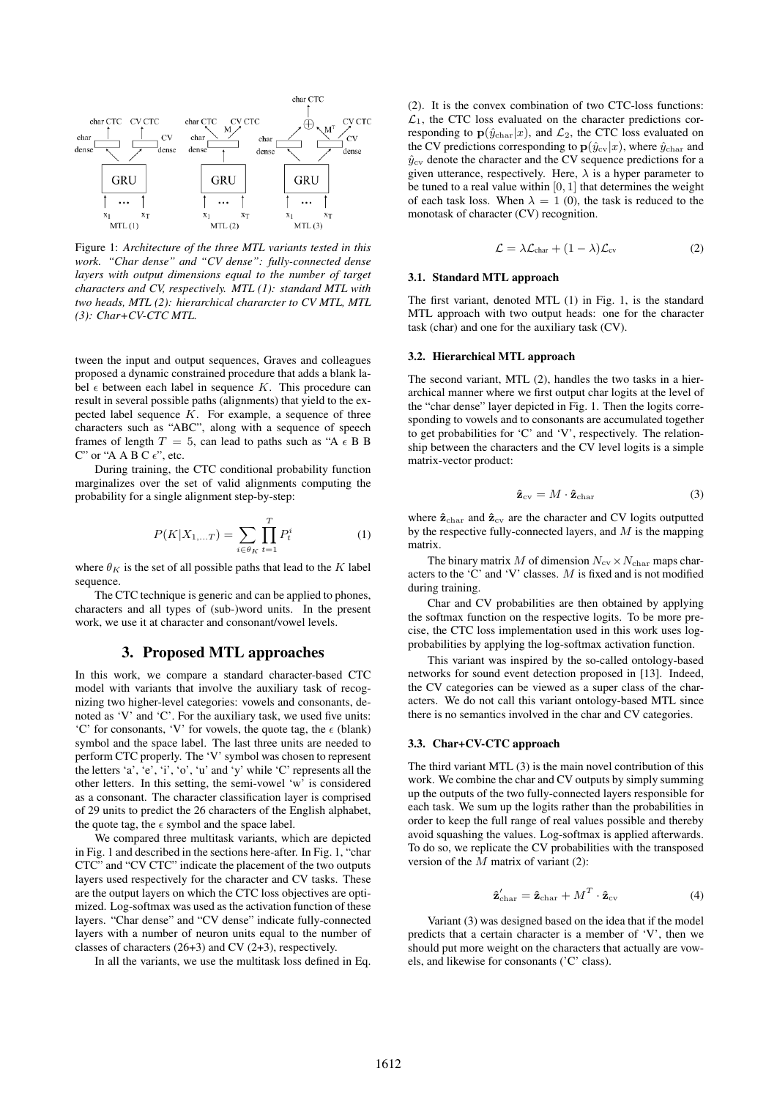

Figure 1: *Architecture of the three MTL variants tested in this work. "Char dense" and "CV dense": fully-connected dense layers with output dimensions equal to the number of target characters and CV, respectively. MTL (1): standard MTL with two heads, MTL (2): hierarchical chararcter to CV MTL, MTL (3): Char+CV-CTC MTL.*

tween the input and output sequences, Graves and colleagues proposed a dynamic constrained procedure that adds a blank label  $\epsilon$  between each label in sequence K. This procedure can result in several possible paths (alignments) that yield to the expected label sequence  $K$ . For example, a sequence of three characters such as "ABC", along with a sequence of speech frames of length  $T = 5$ , can lead to paths such as "A  $\epsilon$  B B C" or "A A B C  $\epsilon$ ", etc.

During training, the CTC conditional probability function marginalizes over the set of valid alignments computing the probability for a single alignment step-by-step:

$$
P(K|X_{1,...T}) = \sum_{i \in \theta_K} \prod_{t=1}^{T} P_t^i
$$
 (1)

where  $\theta_K$  is the set of all possible paths that lead to the K label sequence.

The CTC technique is generic and can be applied to phones, characters and all types of (sub-)word units. In the present work, we use it at character and consonant/vowel levels.

### 3. Proposed MTL approaches

In this work, we compare a standard character-based CTC model with variants that involve the auxiliary task of recognizing two higher-level categories: vowels and consonants, denoted as 'V' and 'C'. For the auxiliary task, we used five units: 'C' for consonants, 'V' for vowels, the quote tag, the  $\epsilon$  (blank) symbol and the space label. The last three units are needed to perform CTC properly. The 'V' symbol was chosen to represent the letters 'a', 'e', 'i', 'o', 'u' and 'y' while 'C' represents all the other letters. In this setting, the semi-vowel 'w' is considered as a consonant. The character classification layer is comprised of 29 units to predict the 26 characters of the English alphabet, the quote tag, the  $\epsilon$  symbol and the space label.

We compared three multitask variants, which are depicted in Fig. 1 and described in the sections here-after. In Fig. 1, "char CTC" and "CV CTC" indicate the placement of the two outputs layers used respectively for the character and CV tasks. These are the output layers on which the CTC loss objectives are optimized. Log-softmax was used as the activation function of these layers. "Char dense" and "CV dense" indicate fully-connected layers with a number of neuron units equal to the number of classes of characters (26+3) and CV (2+3), respectively.

In all the variants, we use the multitask loss defined in Eq.

(2). It is the convex combination of two CTC-loss functions:  $\mathcal{L}_1$ , the CTC loss evaluated on the character predictions corresponding to  $\mathbf{p}(\hat{y}_{\text{char}}|x)$ , and  $\mathcal{L}_2$ , the CTC loss evaluated on the CV predictions corresponding to  $\mathbf{p}(\hat{y}_{cv}|x)$ , where  $\hat{y}_{char}$  and  $\hat{y}_{\text{cv}}$  denote the character and the CV sequence predictions for a given utterance, respectively. Here,  $\lambda$  is a hyper parameter to be tuned to a real value within  $[0, 1]$  that determines the weight of each task loss. When  $\lambda = 1$  (0), the task is reduced to the monotask of character (CV) recognition.

$$
\mathcal{L} = \lambda \mathcal{L}_{char} + (1 - \lambda) \mathcal{L}_{cv}
$$
 (2)

### 3.1. Standard MTL approach

The first variant, denoted MTL (1) in Fig. 1, is the standard MTL approach with two output heads: one for the character task (char) and one for the auxiliary task (CV).

#### 3.2. Hierarchical MTL approach

The second variant, MTL (2), handles the two tasks in a hierarchical manner where we first output char logits at the level of the "char dense" layer depicted in Fig. 1. Then the logits corresponding to vowels and to consonants are accumulated together to get probabilities for 'C' and 'V', respectively. The relationship between the characters and the CV level logits is a simple matrix-vector product:

$$
\hat{\mathbf{z}}_{\text{cv}} = M \cdot \hat{\mathbf{z}}_{\text{char}} \tag{3}
$$

where  $\hat{\mathbf{z}}_{\text{char}}$  and  $\hat{\mathbf{z}}_{\text{cv}}$  are the character and CV logits outputted by the respective fully-connected layers, and  $M$  is the mapping matrix.

The binary matrix M of dimension  $N_{\rm cv} \times N_{\rm char}$  maps characters to the 'C' and 'V' classes. M is fixed and is not modified during training.

Char and CV probabilities are then obtained by applying the softmax function on the respective logits. To be more precise, the CTC loss implementation used in this work uses logprobabilities by applying the log-softmax activation function.

This variant was inspired by the so-called ontology-based networks for sound event detection proposed in [13]. Indeed, the CV categories can be viewed as a super class of the characters. We do not call this variant ontology-based MTL since there is no semantics involved in the char and CV categories.

#### 3.3. Char+CV-CTC approach

The third variant MTL (3) is the main novel contribution of this work. We combine the char and CV outputs by simply summing up the outputs of the two fully-connected layers responsible for each task. We sum up the logits rather than the probabilities in order to keep the full range of real values possible and thereby avoid squashing the values. Log-softmax is applied afterwards. To do so, we replicate the CV probabilities with the transposed version of the  $M$  matrix of variant (2):

$$
\hat{\mathbf{z}}'_{\text{char}} = \hat{\mathbf{z}}_{\text{char}} + M^T \cdot \hat{\mathbf{z}}_{\text{cv}} \tag{4}
$$

Variant (3) was designed based on the idea that if the model predicts that a certain character is a member of 'V', then we should put more weight on the characters that actually are vowels, and likewise for consonants ('C' class).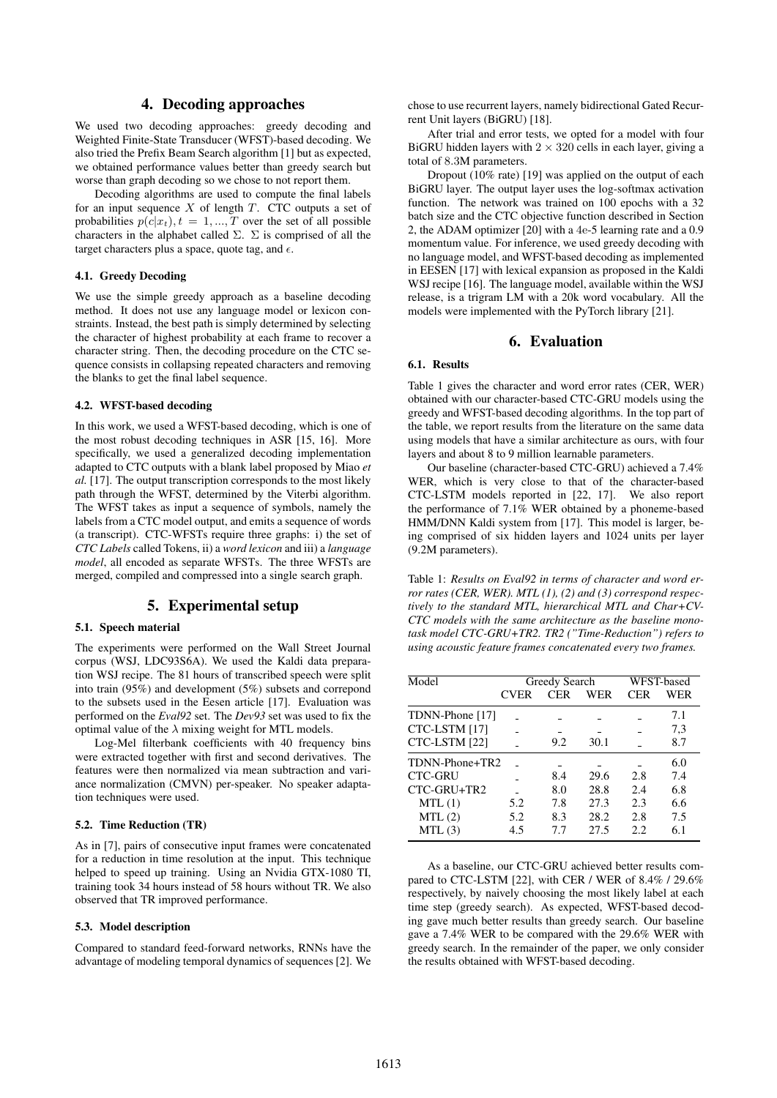# 4. Decoding approaches

We used two decoding approaches: greedy decoding and Weighted Finite-State Transducer (WFST)-based decoding. We also tried the Prefix Beam Search algorithm [1] but as expected, we obtained performance values better than greedy search but worse than graph decoding so we chose to not report them.

Decoding algorithms are used to compute the final labels for an input sequence  $X$  of length  $T$ . CTC outputs a set of probabilities  $p(c|x_t), t = 1, ..., T$  over the set of all possible characters in the alphabet called  $\Sigma$ .  $\Sigma$  is comprised of all the target characters plus a space, quote tag, and  $\epsilon$ .

#### 4.1. Greedy Decoding

We use the simple greedy approach as a baseline decoding method. It does not use any language model or lexicon constraints. Instead, the best path is simply determined by selecting the character of highest probability at each frame to recover a character string. Then, the decoding procedure on the CTC sequence consists in collapsing repeated characters and removing the blanks to get the final label sequence.

### 4.2. WFST-based decoding

In this work, we used a WFST-based decoding, which is one of the most robust decoding techniques in ASR [15, 16]. More specifically, we used a generalized decoding implementation adapted to CTC outputs with a blank label proposed by Miao *et al.* [17]. The output transcription corresponds to the most likely path through the WFST, determined by the Viterbi algorithm. The WFST takes as input a sequence of symbols, namely the labels from a CTC model output, and emits a sequence of words (a transcript). CTC-WFSTs require three graphs: i) the set of *CTC Labels* called Tokens, ii) a *word lexicon* and iii) a *language model*, all encoded as separate WFSTs. The three WFSTs are merged, compiled and compressed into a single search graph.

### 5. Experimental setup

#### 5.1. Speech material

The experiments were performed on the Wall Street Journal corpus (WSJ, LDC93S6A). We used the Kaldi data preparation WSJ recipe. The 81 hours of transcribed speech were split into train (95%) and development (5%) subsets and correpond to the subsets used in the Eesen article [17]. Evaluation was performed on the *Eval92* set. The *Dev93* set was used to fix the optimal value of the  $\lambda$  mixing weight for MTL models.

Log-Mel filterbank coefficients with 40 frequency bins were extracted together with first and second derivatives. The features were then normalized via mean subtraction and variance normalization (CMVN) per-speaker. No speaker adaptation techniques were used.

#### 5.2. Time Reduction (TR)

As in [7], pairs of consecutive input frames were concatenated for a reduction in time resolution at the input. This technique helped to speed up training. Using an Nvidia GTX-1080 TI, training took 34 hours instead of 58 hours without TR. We also observed that TR improved performance.

#### 5.3. Model description

Compared to standard feed-forward networks, RNNs have the advantage of modeling temporal dynamics of sequences [2]. We chose to use recurrent layers, namely bidirectional Gated Recurrent Unit layers (BiGRU) [18].

After trial and error tests, we opted for a model with four BiGRU hidden layers with  $2 \times 320$  cells in each layer, giving a total of 8.3M parameters.

Dropout (10% rate) [19] was applied on the output of each BiGRU layer. The output layer uses the log-softmax activation function. The network was trained on 100 epochs with a 32 batch size and the CTC objective function described in Section 2, the ADAM optimizer [20] with a 4e-5 learning rate and a 0.9 momentum value. For inference, we used greedy decoding with no language model, and WFST-based decoding as implemented in EESEN [17] with lexical expansion as proposed in the Kaldi WSJ recipe [16]. The language model, available within the WSJ release, is a trigram LM with a 20k word vocabulary. All the models were implemented with the PyTorch library [21].

### 6. Evaluation

### 6.1. Results

Table 1 gives the character and word error rates (CER, WER) obtained with our character-based CTC-GRU models using the greedy and WFST-based decoding algorithms. In the top part of the table, we report results from the literature on the same data using models that have a similar architecture as ours, with four layers and about 8 to 9 million learnable parameters.

Our baseline (character-based CTC-GRU) achieved a 7.4% WER, which is very close to that of the character-based CTC-LSTM models reported in [22, 17]. We also report the performance of  $7.1\%$  WER obtained by a phoneme-based HMM/DNN Kaldi system from [17]. This model is larger, being comprised of six hidden layers and 1024 units per layer (9.2M parameters).

Table 1: *Results on Eval92 in terms of character and word error rates (CER, WER). MTL (1), (2) and (3) correspond respectively to the standard MTL, hierarchical MTL and Char+CV-CTC models with the same architecture as the baseline monotask model CTC-GRU+TR2. TR2 ("Time-Reduction") refers to using acoustic feature frames concatenated every two frames.*

| Model           | Greedy Search |            |      | WFST-based |     |
|-----------------|---------------|------------|------|------------|-----|
|                 | <b>CVER</b>   | <b>CER</b> | WER  | CER        | WER |
| TDNN-Phone [17] |               |            |      |            | 7.1 |
| CTC-LSTM [17]   |               |            |      |            | 7,3 |
| CTC-LSTM [22]   |               | 9.2        | 30.1 |            | 8.7 |
| TDNN-Phone+TR2  |               |            |      |            | 6.0 |
| <b>CTC-GRU</b>  |               | 8.4        | 29.6 | 2.8        | 7.4 |
| CTC-GRU+TR2     |               | 8.0        | 28.8 | 2.4        | 6.8 |
| MTL(1)          | 5.2           | 7.8        | 27.3 | 2.3        | 6.6 |
| MTL(2)          | 5.2           | 8.3        | 28.2 | 2.8        | 7.5 |
| MTL(3)          | 4.5           | 7.7        | 27.5 | 2.2.       | 6.1 |

As a baseline, our CTC-GRU achieved better results compared to CTC-LSTM [22], with CER / WER of 8.4% / 29.6% respectively, by naively choosing the most likely label at each time step (greedy search). As expected, WFST-based decoding gave much better results than greedy search. Our baseline gave a 7.4% WER to be compared with the 29.6% WER with greedy search. In the remainder of the paper, we only consider the results obtained with WFST-based decoding.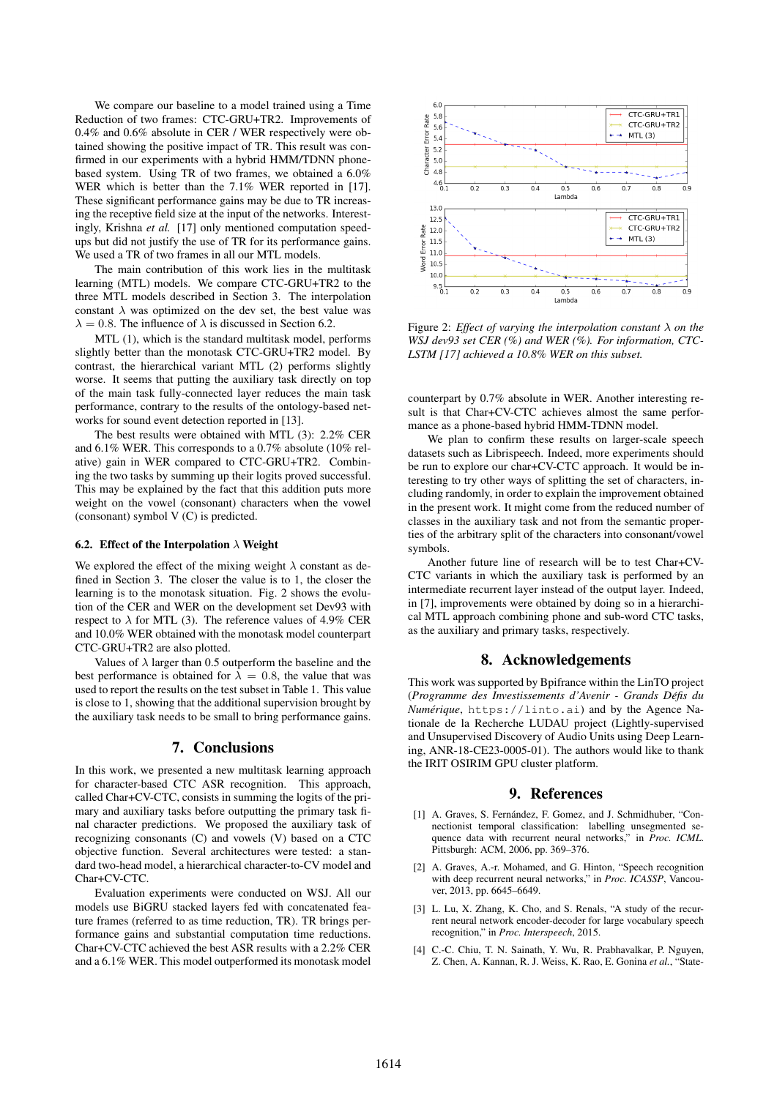We compare our baseline to a model trained using a Time Reduction of two frames: CTC-GRU+TR2. Improvements of 0.4% and 0.6% absolute in CER / WER respectively were obtained showing the positive impact of TR. This result was confirmed in our experiments with a hybrid HMM/TDNN phonebased system. Using TR of two frames, we obtained a 6.0% WER which is better than the 7.1% WER reported in [17]. These significant performance gains may be due to TR increasing the receptive field size at the input of the networks. Interestingly, Krishna *et al.* [17] only mentioned computation speedups but did not justify the use of TR for its performance gains. We used a TR of two frames in all our MTL models.

The main contribution of this work lies in the multitask learning (MTL) models. We compare CTC-GRU+TR2 to the three MTL models described in Section 3. The interpolation constant  $\lambda$  was optimized on the dev set, the best value was  $\lambda = 0.8$ . The influence of  $\lambda$  is discussed in Section 6.2.

MTL (1), which is the standard multitask model, performs slightly better than the monotask CTC-GRU+TR2 model. By contrast, the hierarchical variant MTL (2) performs slightly worse. It seems that putting the auxiliary task directly on top of the main task fully-connected layer reduces the main task performance, contrary to the results of the ontology-based networks for sound event detection reported in [13].

The best results were obtained with MTL (3): 2.2% CER and 6.1% WER. This corresponds to a 0.7% absolute (10% relative) gain in WER compared to CTC-GRU+TR2. Combining the two tasks by summing up their logits proved successful. This may be explained by the fact that this addition puts more weight on the vowel (consonant) characters when the vowel (consonant) symbol V (C) is predicted.

#### 6.2. Effect of the Interpolation  $\lambda$  Weight

We explored the effect of the mixing weight  $\lambda$  constant as defined in Section 3. The closer the value is to 1, the closer the learning is to the monotask situation. Fig. 2 shows the evolution of the CER and WER on the development set Dev93 with respect to  $\lambda$  for MTL (3). The reference values of 4.9% CER and 10.0% WER obtained with the monotask model counterpart CTC-GRU+TR2 are also plotted.

Values of  $\lambda$  larger than 0.5 outperform the baseline and the best performance is obtained for  $\lambda = 0.8$ , the value that was used to report the results on the test subset in Table 1. This value is close to 1, showing that the additional supervision brought by the auxiliary task needs to be small to bring performance gains.

## 7. Conclusions

In this work, we presented a new multitask learning approach for character-based CTC ASR recognition. This approach, called Char+CV-CTC, consists in summing the logits of the primary and auxiliary tasks before outputting the primary task final character predictions. We proposed the auxiliary task of recognizing consonants (C) and vowels (V) based on a CTC objective function. Several architectures were tested: a standard two-head model, a hierarchical character-to-CV model and Char+CV-CTC.

Evaluation experiments were conducted on WSJ. All our models use BiGRU stacked layers fed with concatenated feature frames (referred to as time reduction, TR). TR brings performance gains and substantial computation time reductions. Char+CV-CTC achieved the best ASR results with a 2.2% CER and a 6.1% WER. This model outperformed its monotask model



Figure 2: *Effect of varying the interpolation constant* λ *on the WSJ dev93 set CER (%) and WER (%). For information, CTC-LSTM [17] achieved a 10.8% WER on this subset.*

counterpart by 0.7% absolute in WER. Another interesting result is that Char+CV-CTC achieves almost the same performance as a phone-based hybrid HMM-TDNN model.

We plan to confirm these results on larger-scale speech datasets such as Librispeech. Indeed, more experiments should be run to explore our char+CV-CTC approach. It would be interesting to try other ways of splitting the set of characters, including randomly, in order to explain the improvement obtained in the present work. It might come from the reduced number of classes in the auxiliary task and not from the semantic properties of the arbitrary split of the characters into consonant/vowel symbols.

Another future line of research will be to test Char+CV-CTC variants in which the auxiliary task is performed by an intermediate recurrent layer instead of the output layer. Indeed, in [7], improvements were obtained by doing so in a hierarchical MTL approach combining phone and sub-word CTC tasks, as the auxiliary and primary tasks, respectively.

### 8. Acknowledgements

This work was supported by Bpifrance within the LinTO project (*Programme des Investissements d'Avenir - Grands Defis du ´ Numérique*, https://linto.ai) and by the Agence Nationale de la Recherche LUDAU project (Lightly-supervised and Unsupervised Discovery of Audio Units using Deep Learning, ANR-18-CE23-0005-01). The authors would like to thank the IRIT OSIRIM GPU cluster platform.

### 9. References

- [1] A. Graves, S. Fernández, F. Gomez, and J. Schmidhuber, "Connectionist temporal classification: labelling unsegmented sequence data with recurrent neural networks," in *Proc. ICML*. Pittsburgh: ACM, 2006, pp. 369–376.
- [2] A. Graves, A.-r. Mohamed, and G. Hinton, "Speech recognition with deep recurrent neural networks," in *Proc. ICASSP*, Vancouver, 2013, pp. 6645–6649.
- [3] L. Lu, X. Zhang, K. Cho, and S. Renals, "A study of the recurrent neural network encoder-decoder for large vocabulary speech recognition," in *Proc. Interspeech*, 2015.
- [4] C.-C. Chiu, T. N. Sainath, Y. Wu, R. Prabhavalkar, P. Nguyen, Z. Chen, A. Kannan, R. J. Weiss, K. Rao, E. Gonina *et al.*, "State-